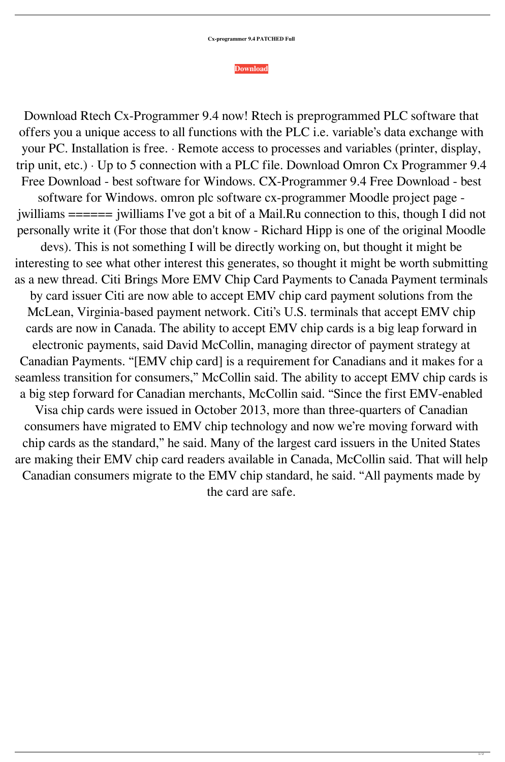## **[Download](https://shoxet.com/2l0ej3)**

Download Rtech Cx-Programmer 9.4 now! Rtech is preprogrammed PLC software that offers you a unique access to all functions with the PLC i.e. variable's data exchange with your PC. Installation is free. · Remote access to processes and variables (printer, display, trip unit, etc.) · Up to 5 connection with a PLC file. Download Omron Cx Programmer 9.4 Free Download - best software for Windows. CX-Programmer 9.4 Free Download - best software for Windows. omron plc software cx-programmer Moodle project page jwilliams ====== jwilliams I've got a bit of a Mail.Ru connection to this, though I did not personally write it (For those that don't know - Richard Hipp is one of the original Moodle devs). This is not something I will be directly working on, but thought it might be interesting to see what other interest this generates, so thought it might be worth submitting as a new thread. Citi Brings More EMV Chip Card Payments to Canada Payment terminals by card issuer Citi are now able to accept EMV chip card payment solutions from the McLean, Virginia-based payment network. Citi's U.S. terminals that accept EMV chip cards are now in Canada. The ability to accept EMV chip cards is a big leap forward in electronic payments, said David McCollin, managing director of payment strategy at Canadian Payments. "[EMV chip card] is a requirement for Canadians and it makes for a seamless transition for consumers," McCollin said. The ability to accept EMV chip cards is a big step forward for Canadian merchants, McCollin said. "Since the first EMV-enabled Visa chip cards were issued in October 2013, more than three-quarters of Canadian consumers have migrated to EMV chip technology and now we're moving forward with chip cards as the standard," he said. Many of the largest card issuers in the United States are making their EMV chip card readers available in Canada, McCollin said. That will help Canadian consumers migrate to the EMV chip standard, he said. "All payments made by the card are safe.